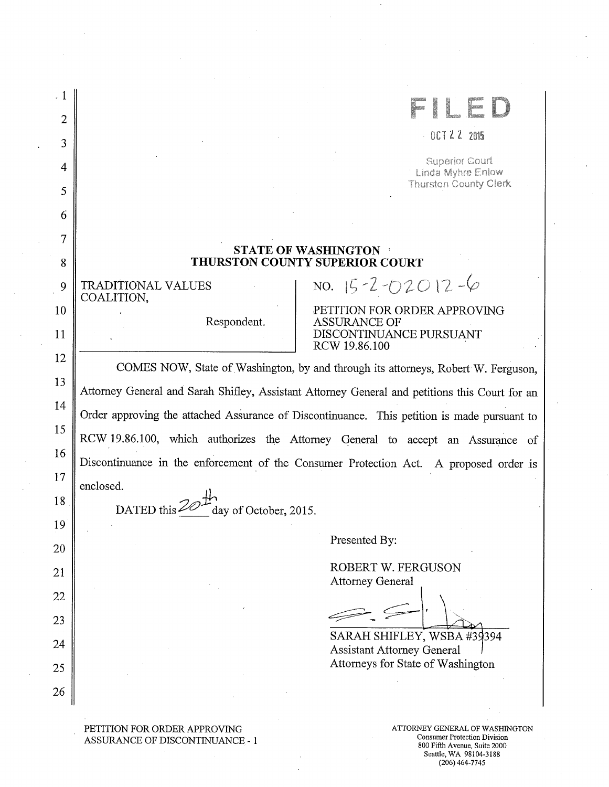| $\cdot$ 1 |                                                                                                |
|-----------|------------------------------------------------------------------------------------------------|
| 2         |                                                                                                |
| 3         | $-0CTZZ$ 2015                                                                                  |
| 4         | <b>Superior Court</b><br>Linda Myhre Enlow                                                     |
| 5         | <b>Thurston County Clerk</b>                                                                   |
| 6         |                                                                                                |
| 7         |                                                                                                |
| 8         | <b>STATE OF WASHINGTON</b><br><b>THURSTON COUNTY SUPERIOR COURT</b>                            |
| 9         | NO. $15 - 2 - 02012 - 6$<br><b>TRADITIONAL VALUES</b><br>COALITION,                            |
| 10        | PETITION FOR ORDER APPROVING<br><b>ASSURANCE OF</b>                                            |
| 11        | Respondent.<br>DISCONTINUANCE PURSUANT<br>RCW 19.86.100                                        |
| 12        | COMES NOW, State of Washington, by and through its attorneys, Robert W. Ferguson,              |
| 13        | Attorney General and Sarah Shifley, Assistant Attorney General and petitions this Court for an |
| 14        |                                                                                                |
| 15        | Order approving the attached Assurance of Discontinuance. This petition is made pursuant to    |
| 16        | RCW 19.86.100, which authorizes the Attorney General to accept an Assurance of                 |
| 17        | Discontinuance in the enforcement of the Consumer Protection Act. A proposed order is          |
| 18        | enclosed.                                                                                      |
|           | DATED this<br>day of October, 2015                                                             |
| 19        | Presented By:                                                                                  |
| 20        | ROBERT W. FERGUSON                                                                             |
| 21        | <b>Attorney General</b>                                                                        |
| 22        |                                                                                                |
| 23        |                                                                                                |
| 24        | SARAH SHIFLEY, WSBA #39394<br><b>Assistant Attorney General</b>                                |
| 25        | Attorneys for State of Washington                                                              |
| 26        |                                                                                                |
|           |                                                                                                |

PETITION FOR ORDER APPROVING ASSURANCE OF DISCONTINUANCE -1

ATTORNEY GENERAL OF WASHINGTON Consumer Protection Division 800 Fifth Avenue, Suite 2000 Seattle, WA 98104-3188 (206) 464-7745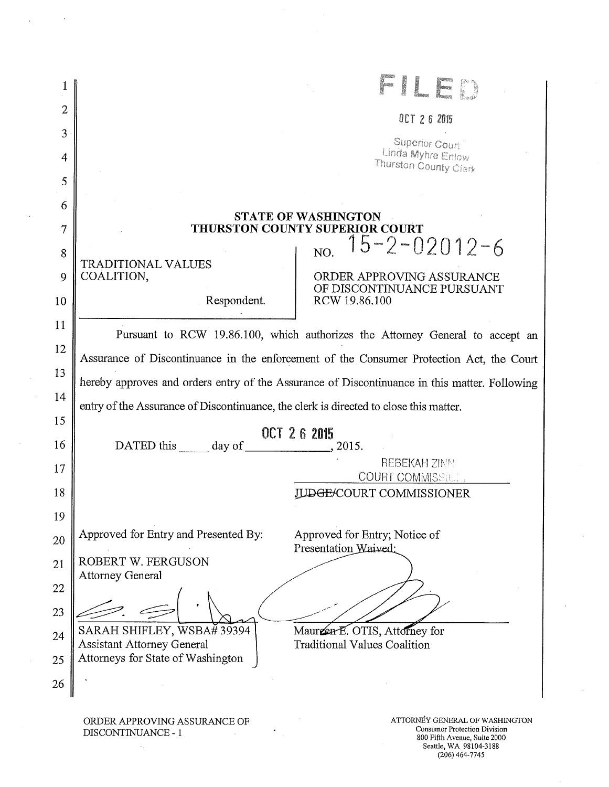|                | L<br>g<br>Monar                                                                                                                                             |
|----------------|-------------------------------------------------------------------------------------------------------------------------------------------------------------|
| $\overline{2}$ | OCT 26 2015                                                                                                                                                 |
| 3              | Superior Court                                                                                                                                              |
| 4              | Linda Myhre Enlow<br>Thurston County Clark                                                                                                                  |
| 5              |                                                                                                                                                             |
| 6              | <b>STATE OF WASHINGTON</b>                                                                                                                                  |
| 7              | THURSTON COUNTY SUPERIOR COURT                                                                                                                              |
| 8              | $15 - 2 - 02012 - 6$<br>NO.                                                                                                                                 |
| 9              | TRADITIONAL VALUES<br>COALITION,<br>ORDER APPROVING ASSURANCE                                                                                               |
| 10             | OF DISCONTINUANCE PURSUANT<br>Respondent.<br>RCW 19.86.100                                                                                                  |
| 11             | Pursuant to RCW 19.86.100, which authorizes the Attorney General to accept an                                                                               |
| 12             |                                                                                                                                                             |
| 13             | Assurance of Discontinuance in the enforcement of the Consumer Protection Act, the Court                                                                    |
| 14             | hereby approves and orders entry of the Assurance of Discontinuance in this matter. Following                                                               |
| 15             | entry of the Assurance of Discontinuance, the clerk is directed to close this matter.                                                                       |
| 16             | OCT 26 2015<br>DATED this day of<br>2015.                                                                                                                   |
| 17             | <b>REBEKAH ZINN</b>                                                                                                                                         |
| 18             | <b>COURT COMMISSICT.</b><br><b>DGE/COURT COMMISSIONER</b>                                                                                                   |
| 19             |                                                                                                                                                             |
| 20             | Approved for Entry and Presented By:<br>Approved for Entry; Notice of                                                                                       |
| 21             | Presentation Waived:<br>ROBERT W. FERGUSON                                                                                                                  |
| 22             | <b>Attorney General</b>                                                                                                                                     |
|                |                                                                                                                                                             |
| 23             | SARAH SHIFLEY, WSBA# 39394<br>Mauren E. OTIS, Attorney for                                                                                                  |
| 24             | <b>Assistant Attorney General</b><br><b>Traditional Values Coalition</b><br>Attorneys for State of Washington                                               |
| 25             |                                                                                                                                                             |
| 26             |                                                                                                                                                             |
|                | ATTORNEY GENERAL OF WASHINGTON<br>ORDER APPROVING ASSURANCE OF<br><b>Consumer Protection Division</b><br>DISCONTINUANCE - 1<br>800 Fifth Avenue, Suite 2000 |

 $\bar{\beta}$ 

 $\sim$ 

 $\ddot{\phantom{a}}$ 

Seattle, WA 98104-3188 (206) 464-7745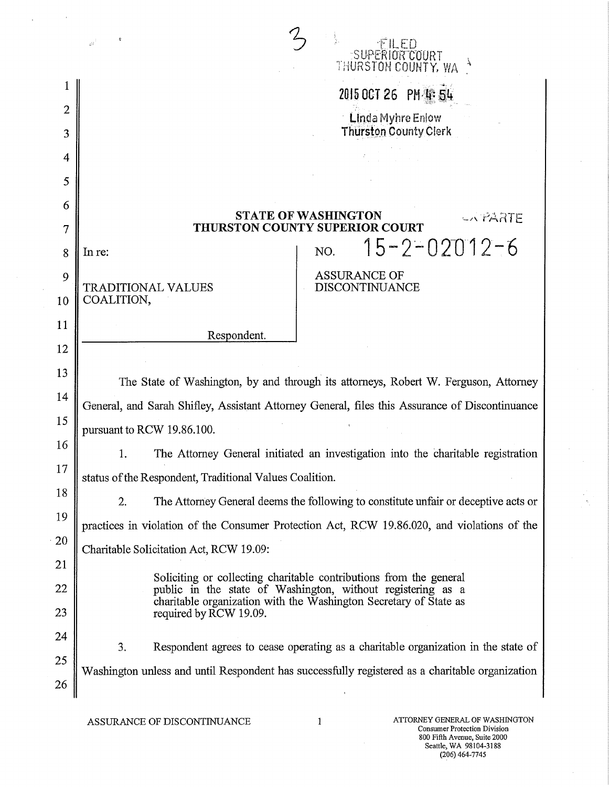|                | έł<br>SUPERIOR COURT<br>THURSTON COUNTY, WA                                                                                                                                                            |
|----------------|--------------------------------------------------------------------------------------------------------------------------------------------------------------------------------------------------------|
|                | 2015 0CT 26 PM 輩 54                                                                                                                                                                                    |
| $\overline{2}$ | <b>Linda Myhre Enlow</b>                                                                                                                                                                               |
| 3              | <b>Thurston County Clerk</b>                                                                                                                                                                           |
| 4              |                                                                                                                                                                                                        |
| 5              |                                                                                                                                                                                                        |
| 6              | <b>STATE OF WASHINGTON</b><br>CA PARTE                                                                                                                                                                 |
| 7              | THURSTON COUNTY SUPERIOR COURT                                                                                                                                                                         |
| 8              | $15 - 2 - 02012 - 6$<br>NO.<br>In re:                                                                                                                                                                  |
| 9              | <b>ASSURANCE OF</b><br><b>TRADITIONAL VALUES</b><br><b>DISCONTINUANCE</b>                                                                                                                              |
| 10             | COALITION,                                                                                                                                                                                             |
| 11             | Respondent.                                                                                                                                                                                            |
| 12             |                                                                                                                                                                                                        |
| 13             | The State of Washington, by and through its attorneys, Robert W. Ferguson, Attorney                                                                                                                    |
| 14             | General, and Sarah Shifley, Assistant Attorney General, files this Assurance of Discontinuance                                                                                                         |
| 15             | pursuant to RCW 19.86.100.                                                                                                                                                                             |
| 16             | The Attorney General initiated an investigation into the charitable registration<br>1.                                                                                                                 |
| 17             | status of the Respondent, Traditional Values Coalition.                                                                                                                                                |
| 18             | The Attorney General deems the following to constitute unfair or deceptive acts or<br>2.                                                                                                               |
| 19             | practices in violation of the Consumer Protection Act, RCW 19.86.020, and violations of the                                                                                                            |
| 20             | Charitable Solicitation Act, RCW 19.09:                                                                                                                                                                |
| 21             |                                                                                                                                                                                                        |
| 22             | Soliciting or collecting charitable contributions from the general<br>public in the state of Washington, without registering as a<br>charitable organization with the Washington Secretary of State as |
| 23             | required by RCW 19.09.                                                                                                                                                                                 |
| 24             | 3.<br>Respondent agrees to cease operating as a charitable organization in the state of                                                                                                                |
| 25             | Washington unless and until Respondent has successfully registered as a charitable organization                                                                                                        |
| 26             |                                                                                                                                                                                                        |

 $\Delta \sim 10^4$ 

 $\bar{z}$ 

 $\sim$   $\alpha$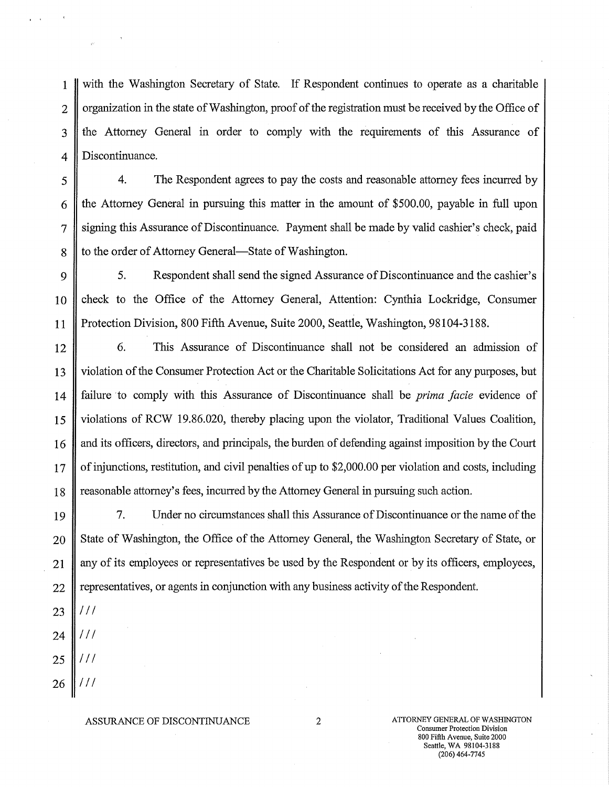with the Washington Secretary of State. If Respondent continues to operate as a charitable organization in the state of Washington, proof of the registration must be received by the Office of the Attorney General in order to comply with the requirements of this Assurance of Discontinuance. 1 2 3 4

4. The Respondent agrees to pay the costs and reasonable attorney fees incurred by the Attorney General in pursuing this matter in the amount of \$500.00, payable in full upon signing this Assurance of Discontinuance. Payment shall be made by valid cashier's check, paid to the order of Attorney General—State of Washington. 5

5. Respondent shall send the signed Assurance of Discontinuance and the cashier's check to the Office of the Attorney General, Attention: Cynthia Lockridge, Consumer Protection Division, 800 Fifth Avenue, Suite 2000, Seattle, Washington, 98104-3188. 9 10 11

6. This Assurance of Discontinuance shall not be considered an admission of violation of the Consumer Protection Act or the Charitable Solicitations Act for any purposes, but failure to comply with this Assurance of Discontinuance shall be *prima facie* evidence of violations of RCW 19.86.020, thereby placing upon the violator, Traditional Values Coalition, and its officers, directors, and principals, the burden of defending against imposition by the Court of injunctions, restitution, and civil penalties of up to \$2,000.00 per violation and costs, including reasonable attorney's fees, incurred by the Attorney General in pursuing such action. 12 13 14 15 16 17 18

7. Under no circumstances shall this Assurance of Discontinuance or the name of the State of Washington, the Office of the Attorney General, the Washington Secretary of State, or any of its employees or representatives be used by the Respondent or by its officers, employees, representatives, or agents in conjunction with any business activity of the Respondent. 19 20 21 22

/ / / 23

6

7

8

/ / / 24

/ / /

/ / / 26

25